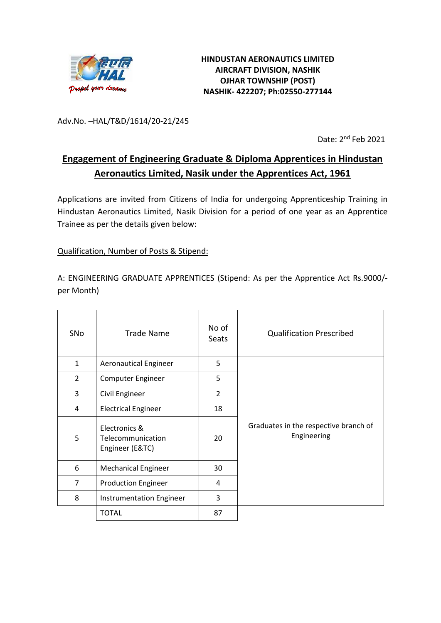

Adv.No. –HAL/T&D/1614/20-21/245

Date: 2<sup>nd</sup> Feb 2021

# **Engagement of Engineering Graduate & Diploma Apprentices in Hindustan Aeronautics Limited, Nasik under the Apprentices Act, 1961**

Applications are invited from Citizens of India for undergoing Apprenticeship Training in Hindustan Aeronautics Limited, Nasik Division for a period of one year as an Apprentice Trainee as per the details given below:

#### Qualification, Number of Posts & Stipend:

A: ENGINEERING GRADUATE APPRENTICES (Stipend: As per the Apprentice Act Rs.9000/ per Month)

| SNo            | Trade Name                                            | No of<br>Seats | <b>Qualification Prescribed</b>                      |
|----------------|-------------------------------------------------------|----------------|------------------------------------------------------|
| $\mathbf{1}$   | <b>Aeronautical Engineer</b>                          | 5              |                                                      |
| 2              | Computer Engineer                                     | 5              |                                                      |
| 3              | Civil Engineer                                        | $\overline{2}$ |                                                      |
| 4              | <b>Electrical Engineer</b>                            | 18             |                                                      |
| 5              | Electronics &<br>Telecommunication<br>Engineer (E&TC) | 20             | Graduates in the respective branch of<br>Engineering |
| 6              | <b>Mechanical Engineer</b>                            | 30             |                                                      |
| $\overline{7}$ | <b>Production Engineer</b>                            | 4              |                                                      |
| 8              | <b>Instrumentation Engineer</b>                       | 3              |                                                      |
|                | <b>TOTAL</b>                                          | 87             |                                                      |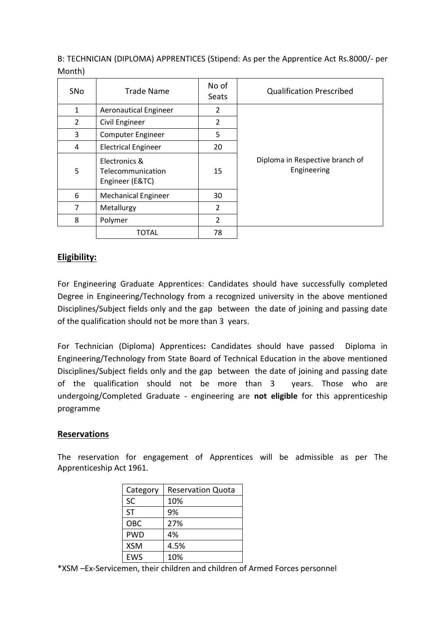B: TECHNICIAN (DIPLOMA) APPRENTICES (Stipend: As per the Apprentice Act Rs.8000/- per Month)

| <b>SNo</b>     | <b>Trade Name</b>                                     | No of<br>Seats | <b>Qualification Prescribed</b>                |
|----------------|-------------------------------------------------------|----------------|------------------------------------------------|
| 1              | <b>Aeronautical Engineer</b>                          | 2              |                                                |
| $\overline{2}$ | Civil Engineer                                        | 2              |                                                |
| 3              | <b>Computer Engineer</b>                              | 5              |                                                |
| 4              | <b>Electrical Engineer</b>                            | 20             |                                                |
| 5              | Electronics &<br>Telecommunication<br>Engineer (E&TC) | 15             | Diploma in Respective branch of<br>Engineering |
| 6              | <b>Mechanical Engineer</b>                            | 30             |                                                |
| $\overline{7}$ | Metallurgy                                            | $\overline{2}$ |                                                |
| 8              | Polymer                                               | $\overline{2}$ |                                                |
|                | TOTAL                                                 | 78             |                                                |

## **Eligibility:**

For Engineering Graduate Apprentices: Candidates should have successfully completed Degree in Engineering/Technology from a recognized university in the above mentioned Disciplines/Subject fields only and the gap between the date of joining and passing date of the qualification should not be more than 3 years.

For Technician (Diploma) Apprentices**:** Candidates should have passed Diploma in Engineering/Technology from State Board of Technical Education in the above mentioned Disciplines/Subject fields only and the gap between the date of joining and passing date of the qualification should not be more than 3 years. Those who are undergoing/Completed Graduate - engineering are **not eligible** for this apprenticeship programme

#### **Reservations**

The reservation for engagement of Apprentices will be admissible as per The Apprenticeship Act 1961.

| Category   | <b>Reservation Quota</b> |
|------------|--------------------------|
| <b>SC</b>  | 10%                      |
| <b>ST</b>  | 9%                       |
| OBC        | 27%                      |
| <b>PWD</b> | 4%                       |
| <b>XSM</b> | 4.5%                     |
| <b>FWS</b> | 10%                      |

\*XSM –Ex-Servicemen, their children and children of Armed Forces personnel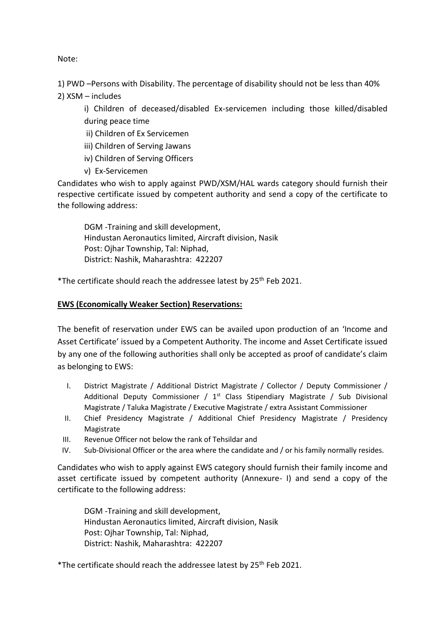Note:

1) PWD –Persons with Disability. The percentage of disability should not be less than 40%

2) XSM – includes

i) Children of deceased/disabled Ex-servicemen including those killed/disabled during peace time

- ii) Children of Ex Servicemen
- iii) Children of Serving Jawans
- iv) Children of Serving Officers
- v) Ex-Servicemen

Candidates who wish to apply against PWD/XSM/HAL wards category should furnish their respective certificate issued by competent authority and send a copy of the certificate to the following address:

DGM -Training and skill development, Hindustan Aeronautics limited, Aircraft division, Nasik Post: Ojhar Township, Tal: Niphad, District: Nashik, Maharashtra: 422207

\*The certificate should reach the addressee latest by 25<sup>th</sup> Feb 2021.

#### **EWS (Economically Weaker Section) Reservations:**

The benefit of reservation under EWS can be availed upon production of an 'Income and Asset Certificate' issued by a Competent Authority. The income and Asset Certificate issued by any one of the following authorities shall only be accepted as proof of candidate's claim as belonging to EWS:

- I. District Magistrate / Additional District Magistrate / Collector / Deputy Commissioner / Additional Deputy Commissioner /  $1<sup>st</sup>$  Class Stipendiary Magistrate / Sub Divisional Magistrate / Taluka Magistrate / Executive Magistrate / extra Assistant Commissioner
- II. Chief Presidency Magistrate / Additional Chief Presidency Magistrate / Presidency Magistrate
- III. Revenue Officer not below the rank of Tehsildar and
- IV. Sub-Divisional Officer or the area where the candidate and / or his family normally resides.

Candidates who wish to apply against EWS category should furnish their family income and asset certificate issued by competent authority (Annexure- I) and send a copy of the certificate to the following address:

DGM -Training and skill development, Hindustan Aeronautics limited, Aircraft division, Nasik Post: Ojhar Township, Tal: Niphad, District: Nashik, Maharashtra: 422207

\*The certificate should reach the addressee latest by 25<sup>th</sup> Feb 2021.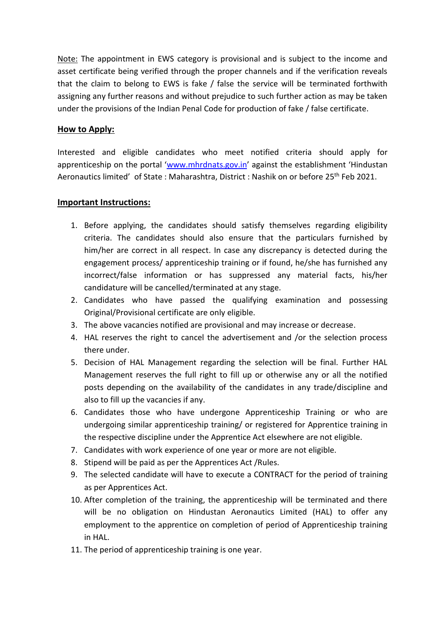Note: The appointment in EWS category is provisional and is subject to the income and asset certificate being verified through the proper channels and if the verification reveals that the claim to belong to EWS is fake / false the service will be terminated forthwith assigning any further reasons and without prejudice to such further action as may be taken under the provisions of the Indian Penal Code for production of fake / false certificate.

### **How to Apply:**

Interested and eligible candidates who meet notified criteria should apply for apprenticeship on the portal '[www.mhrdnats.gov.in](http://www.mhrdnats.gov.in/)' against the establishment 'Hindustan Aeronautics limited' of State : Maharashtra, District : Nashik on or before 25<sup>th</sup> Feb 2021.

#### **Important Instructions:**

- 1. Before applying, the candidates should satisfy themselves regarding eligibility criteria. The candidates should also ensure that the particulars furnished by him/her are correct in all respect. In case any discrepancy is detected during the engagement process/ apprenticeship training or if found, he/she has furnished any incorrect/false information or has suppressed any material facts, his/her candidature will be cancelled/terminated at any stage.
- 2. Candidates who have passed the qualifying examination and possessing Original/Provisional certificate are only eligible.
- 3. The above vacancies notified are provisional and may increase or decrease.
- 4. HAL reserves the right to cancel the advertisement and /or the selection process there under.
- 5. Decision of HAL Management regarding the selection will be final. Further HAL Management reserves the full right to fill up or otherwise any or all the notified posts depending on the availability of the candidates in any trade/discipline and also to fill up the vacancies if any.
- 6. Candidates those who have undergone Apprenticeship Training or who are undergoing similar apprenticeship training/ or registered for Apprentice training in the respective discipline under the Apprentice Act elsewhere are not eligible.
- 7. Candidates with work experience of one year or more are not eligible.
- 8. Stipend will be paid as per the Apprentices Act /Rules.
- 9. The selected candidate will have to execute a CONTRACT for the period of training as per Apprentices Act.
- 10. After completion of the training, the apprenticeship will be terminated and there will be no obligation on Hindustan Aeronautics Limited (HAL) to offer any employment to the apprentice on completion of period of Apprenticeship training in HAL.
- 11. The period of apprenticeship training is one year.